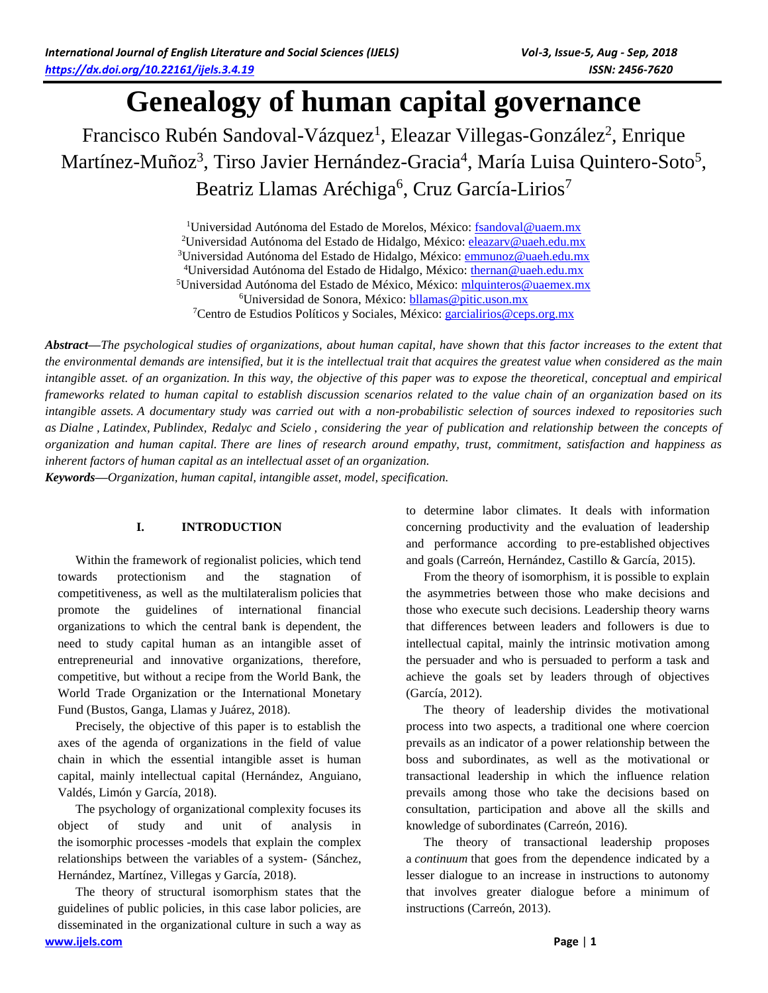# **Genealogy of human capital governance**

Francisco Rubén Sandoval-Vázquez<sup>1</sup>, Eleazar Villegas-González<sup>2</sup>, Enrique Martínez-Muñoz<sup>3</sup>, Tirso Javier Hernández-Gracia<sup>4</sup>, María Luisa Quintero-Soto<sup>5</sup>, Beatriz Llamas Aréchiga<sup>6</sup>, Cruz García-Lirios<sup>7</sup>

> <sup>1</sup>Universidad Autónoma del Estado de Morelos, México[: fsandoval@uaem.mx](mailto:fsandoval@uaem.mx) <sup>2</sup>Universidad Autónoma del Estado de Hidalgo, México[: eleazarv@uaeh.edu.mx](mailto:eleazarv@uaeh.edu.mx) Universidad Autónoma del Estado de Hidalgo, México[: emmunoz@uaeh.edu.mx](mailto:emmunoz@uaeh.edu.mx) Universidad Autónoma del Estado de Hidalgo, México: [thernan@uaeh.edu.mx](mailto:thernan@uaeh.edu.mx) Universidad Autónoma del Estado de México, México: [mlquinteros@uaemex.mx](mailto:mlquinteros@uaemex.mx) Universidad de Sonora, México[: bllamas@pitic.uson.mx](mailto:bllamas@pitic.uson.mx) Centro de Estudios Políticos y Sociales, México: [garcialirios@ceps.org.mx](mailto:garcialirios@ceps.org.mx)

*Abstract—The psychological studies of organizations, about human capital, have shown that this factor increases to the extent that the environmental demands are intensified, but it is the intellectual trait that acquires the greatest value when considered as the main intangible asset. of an organization. In this way, the objective of this paper was to expose the theoretical, conceptual and empirical frameworks related to human capital to establish discussion scenarios related to the value chain of an organization based on its intangible assets. A documentary study was carried out with a non-probabilistic selection of sources indexed to repositories such as Dialne , Latindex, Publindex, Redalyc and Scielo , considering the year of publication and relationship between the concepts of organization and human capital. There are lines of research around empathy, trust, commitment, satisfaction and happiness as inherent factors of human capital as an intellectual asset of an organization.*

*Keywords—Organization, human capital, intangible asset, model, specification.*

# **I. INTRODUCTION**

Within the framework of regionalist policies, which tend towards protectionism and the stagnation of competitiveness, as well as the multilateralism policies that promote the guidelines of international financial organizations to which the central bank is dependent, the need to study capital human as an intangible asset of entrepreneurial and innovative organizations, therefore, competitive, but without a recipe from the World Bank, the World Trade Organization or the International Monetary Fund (Bustos, Ganga, Llamas y Juárez, 2018).

Precisely, the objective of this paper is to establish the axes of the agenda of organizations in the field of value chain in which the essential intangible asset is human capital, mainly intellectual capital (Hernández, Anguiano, Valdés, Limón y García, 2018).

The psychology of organizational complexity focuses its object of study and unit of analysis in the isomorphic processes -models that explain the complex relationships between the variables of a system- (Sánchez, Hernández, Martínez, Villegas y García, 2018).

**[www.ijels.com](http://www.ijels.com/) Page** | **1** The theory of structural isomorphism states that the guidelines of public policies, in this case labor policies, are disseminated in the organizational culture in such a way as

to determine labor climates. It deals with information concerning productivity and the evaluation of leadership and performance according to pre-established objectives and goals (Carreón, Hernández, Castillo & García, 2015).

From the theory of isomorphism, it is possible to explain the asymmetries between those who make decisions and those who execute such decisions. Leadership theory warns that differences between leaders and followers is due to intellectual capital, mainly the intrinsic motivation among the persuader and who is persuaded to perform a task and achieve the goals set by leaders through of objectives (García, 2012).

The theory of leadership divides the motivational process into two aspects, a traditional one where coercion prevails as an indicator of a power relationship between the boss and subordinates, as well as the motivational or transactional leadership in which the influence relation prevails among those who take the decisions based on consultation, participation and above all the skills and knowledge of subordinates (Carreón, 2016).

The theory of transactional leadership proposes a *continuum* that goes from the dependence indicated by a lesser dialogue to an increase in instructions to autonomy that involves greater dialogue before a minimum of instructions (Carreón, 2013).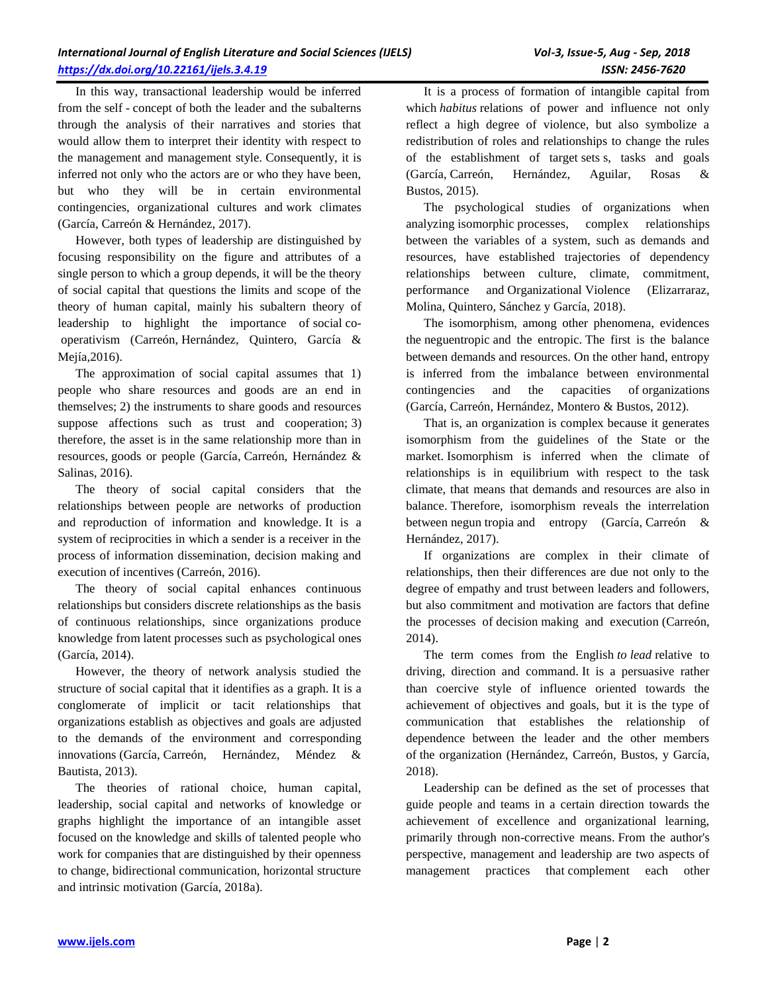In this way, transactional leadership would be inferred from the self - concept of both the leader and the subalterns through the analysis of their narratives and stories that would allow them to interpret their identity with respect to the management and management style. Consequently, it is inferred not only who the actors are or who they have been, but who they will be in certain environmental contingencies, organizational cultures and work climates (García, Carreón & Hernández, 2017).

However, both types of leadership are distinguished by focusing responsibility on the figure and attributes of a single person to which a group depends, it will be the theory of social capital that questions the limits and scope of the theory of human capital, mainly his subaltern theory of leadership to highlight the importance of social cooperativism (Carreón, Hernández, Quintero, García & Mejía,2016).

The approximation of social capital assumes that 1) people who share resources and goods are an end in themselves; 2) the instruments to share goods and resources suppose affections such as trust and cooperation; 3) therefore, the asset is in the same relationship more than in resources, goods or people (García, Carreón, Hernández & Salinas, 2016).

The theory of social capital considers that the relationships between people are networks of production and reproduction of information and knowledge. It is a system of reciprocities in which a sender is a receiver in the process of information dissemination, decision making and execution of incentives (Carreón, 2016).

The theory of social capital enhances continuous relationships but considers discrete relationships as the basis of continuous relationships, since organizations produce knowledge from latent processes such as psychological ones (García, 2014).

However, the theory of network analysis studied the structure of social capital that it identifies as a graph. It is a conglomerate of implicit or tacit relationships that organizations establish as objectives and goals are adjusted to the demands of the environment and corresponding innovations (García, Carreón, Hernández, Méndez & Bautista, 2013).

The theories of rational choice, human capital, leadership, social capital and networks of knowledge or graphs highlight the importance of an intangible asset focused on the knowledge and skills of talented people who work for companies that are distinguished by their openness to change, bidirectional communication, horizontal structure and intrinsic motivation (García, 2018a).

It is a process of formation of intangible capital from which *habitus* relations of power and influence not only reflect a high degree of violence, but also symbolize a redistribution of roles and relationships to change the rules of the establishment of target sets s, tasks and goals (García, Carreón, Hernández, Aguilar, Rosas & Bustos, 2015).

The psychological studies of organizations when analyzing isomorphic processes, complex relationships between the variables of a system, such as demands and resources, have established trajectories of dependency relationships between culture, climate, commitment, performance and Organizational Violence (Elizarraraz, Molina, Quintero, Sánchez y García, 2018).

The isomorphism, among other phenomena, evidences the neguentropic and the entropic. The first is the balance between demands and resources. On the other hand, entropy is inferred from the imbalance between environmental contingencies and the capacities of organizations (García, Carreón, Hernández, Montero & Bustos, 2012).

That is, an organization is complex because it generates isomorphism from the guidelines of the State or the market. Isomorphism is inferred when the climate of relationships is in equilibrium with respect to the task climate, that means that demands and resources are also in balance. Therefore, isomorphism reveals the interrelation between negun tropia and entropy (García, Carreón & Hernández, 2017).

If organizations are complex in their climate of relationships, then their differences are due not only to the degree of empathy and trust between leaders and followers, but also commitment and motivation are factors that define the processes of decision making and execution (Carreón, 2014).

The term comes from the English *to lead* relative to driving, direction and command. It is a persuasive rather than coercive style of influence oriented towards the achievement of objectives and goals, but it is the type of communication that establishes the relationship of dependence between the leader and the other members of the organization (Hernández, Carreón, Bustos, y García, 2018).

Leadership can be defined as the set of processes that guide people and teams in a certain direction towards the achievement of excellence and organizational learning, primarily through non-corrective means. From the author's perspective, management and leadership are two aspects of management practices that complement each other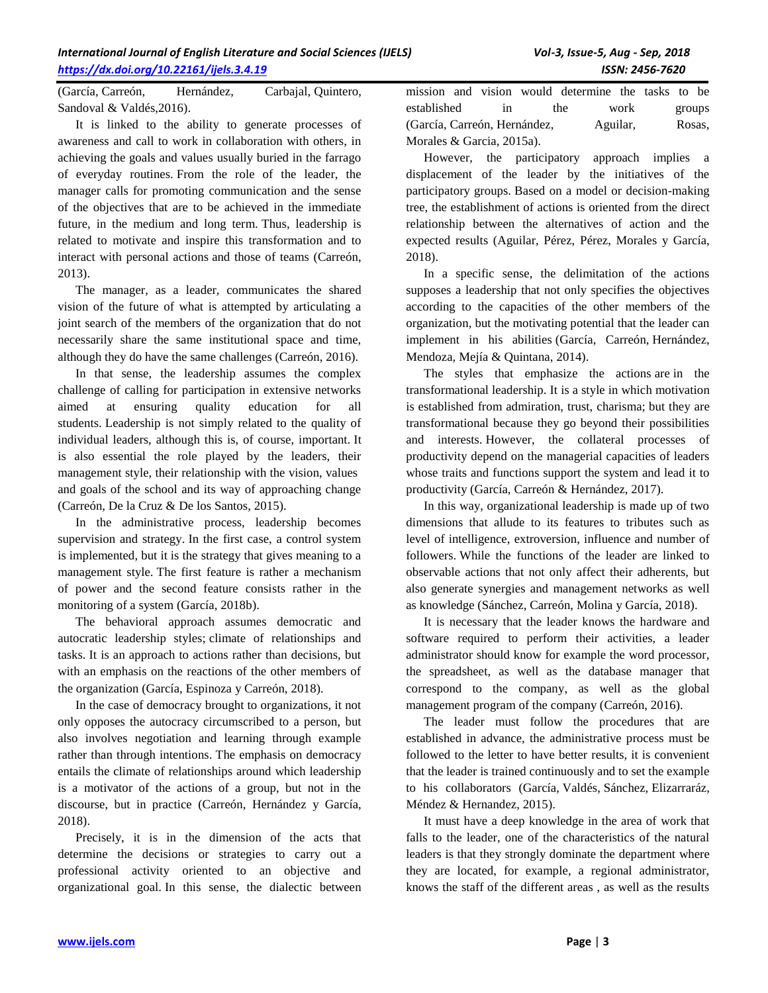(García, Carreón, Hernández, Carbajal, Quintero, Sandoval & Valdés,2016).

It is linked to the ability to generate processes of awareness and call to work in collaboration with others, in achieving the goals and values usually buried in the farrago of everyday routines. From the role of the leader, the manager calls for promoting communication and the sense of the objectives that are to be achieved in the immediate future, in the medium and long term. Thus, leadership is related to motivate and inspire this transformation and to interact with personal actions and those of teams (Carreón, 2013).

The manager, as a leader, communicates the shared vision of the future of what is attempted by articulating a joint search of the members of the organization that do not necessarily share the same institutional space and time, although they do have the same challenges (Carreón, 2016).

In that sense, the leadership assumes the complex challenge of calling for participation in extensive networks aimed at ensuring quality education for all students. Leadership is not simply related to the quality of individual leaders, although this is, of course, important. It is also essential the role played by the leaders, their management style, their relationship with the vision, values and goals of the school and its way of approaching change (Carreón, De la Cruz & De los Santos, 2015).

In the administrative process, leadership becomes supervision and strategy. In the first case, a control system is implemented, but it is the strategy that gives meaning to a management style. The first feature is rather a mechanism of power and the second feature consists rather in the monitoring of a system (García, 2018b).

The behavioral approach assumes democratic and autocratic leadership styles; climate of relationships and tasks. It is an approach to actions rather than decisions, but with an emphasis on the reactions of the other members of the organization (García, Espinoza y Carreón, 2018).

In the case of democracy brought to organizations, it not only opposes the autocracy circumscribed to a person, but also involves negotiation and learning through example rather than through intentions. The emphasis on democracy entails the climate of relationships around which leadership is a motivator of the actions of a group, but not in the discourse, but in practice (Carreón, Hernández y García, 2018).

Precisely, it is in the dimension of the acts that determine the decisions or strategies to carry out a professional activity oriented to an objective and organizational goal. In this sense, the dialectic between mission and vision would determine the tasks to be established in the work groups (García, Carreón, Hernández, Aguilar, Rosas, Morales & Garcia, 2015a).

However, the participatory approach implies a displacement of the leader by the initiatives of the participatory groups. Based on a model or decision-making tree, the establishment of actions is oriented from the direct relationship between the alternatives of action and the expected results (Aguilar, Pérez, Pérez, Morales y García, 2018).

In a specific sense, the delimitation of the actions supposes a leadership that not only specifies the objectives according to the capacities of the other members of the organization, but the motivating potential that the leader can implement in his abilities (García, Carreón, Hernández, Mendoza, Mejía & Quintana, 2014).

The styles that emphasize the actions are in the transformational leadership. It is a style in which motivation is established from admiration, trust, charisma; but they are transformational because they go beyond their possibilities and interests. However, the collateral processes of productivity depend on the managerial capacities of leaders whose traits and functions support the system and lead it to productivity (García, Carreón & Hernández, 2017).

In this way, organizational leadership is made up of two dimensions that allude to its features to tributes such as level of intelligence, extroversion, influence and number of followers. While the functions of the leader are linked to observable actions that not only affect their adherents, but also generate synergies and management networks as well as knowledge (Sánchez, Carreón, Molina y García, 2018).

It is necessary that the leader knows the hardware and software required to perform their activities, a leader administrator should know for example the word processor, the spreadsheet, as well as the database manager that correspond to the company, as well as the global management program of the company (Carreón, 2016).

The leader must follow the procedures that are established in advance, the administrative process must be followed to the letter to have better results, it is convenient that the leader is trained continuously and to set the example to his collaborators (García, Valdés, Sánchez, Elizarraráz, Méndez & Hernandez, 2015).

It must have a deep knowledge in the area of work that falls to the leader, one of the characteristics of the natural leaders is that they strongly dominate the department where they are located, for example, a regional administrator, knows the staff of the different areas , as well as the results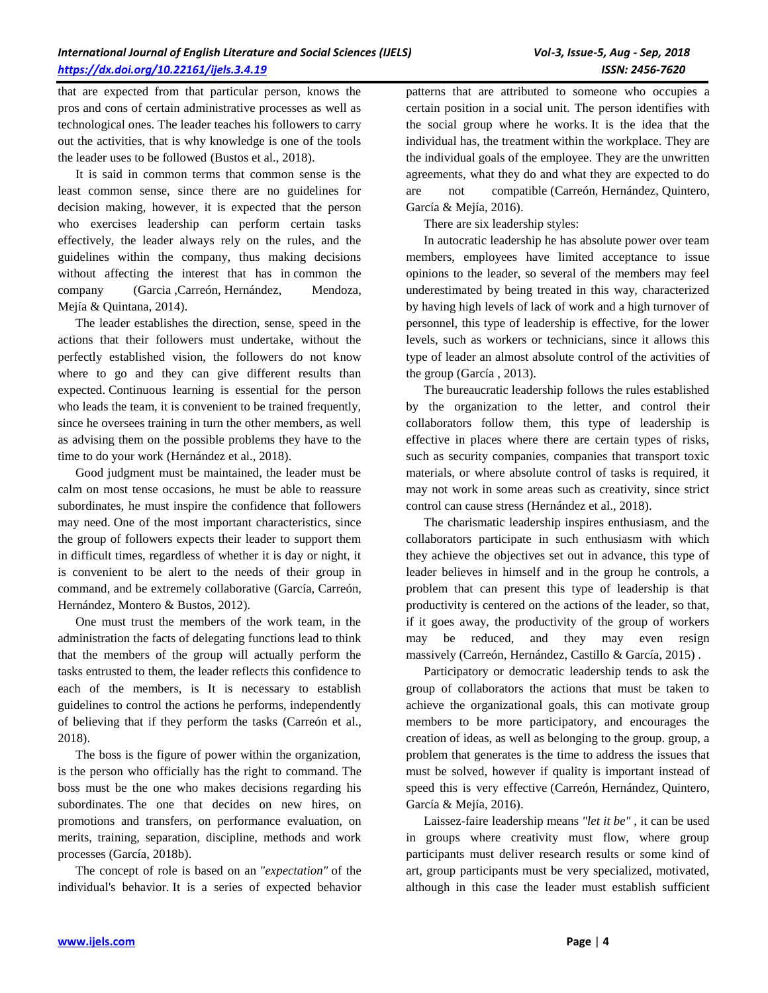that are expected from that particular person, knows the pros and cons of certain administrative processes as well as technological ones. The leader teaches his followers to carry out the activities, that is why knowledge is one of the tools the leader uses to be followed (Bustos et al., 2018).

It is said in common terms that common sense is the least common sense, since there are no guidelines for decision making, however, it is expected that the person who exercises leadership can perform certain tasks effectively, the leader always rely on the rules, and the guidelines within the company, thus making decisions without affecting the interest that has in common the company (Garcia ,Carreón, Hernández, Mendoza, Mejía & Quintana, 2014).

The leader establishes the direction, sense, speed in the actions that their followers must undertake, without the perfectly established vision, the followers do not know where to go and they can give different results than expected. Continuous learning is essential for the person who leads the team, it is convenient to be trained frequently, since he oversees training in turn the other members, as well as advising them on the possible problems they have to the time to do your work (Hernández et al., 2018).

Good judgment must be maintained, the leader must be calm on most tense occasions, he must be able to reassure subordinates, he must inspire the confidence that followers may need. One of the most important characteristics, since the group of followers expects their leader to support them in difficult times, regardless of whether it is day or night, it is convenient to be alert to the needs of their group in command, and be extremely collaborative (García, Carreón, Hernández, Montero & Bustos, 2012).

One must trust the members of the work team, in the administration the facts of delegating functions lead to think that the members of the group will actually perform the tasks entrusted to them, the leader reflects this confidence to each of the members, is It is necessary to establish guidelines to control the actions he performs, independently of believing that if they perform the tasks (Carreón et al., 2018).

The boss is the figure of power within the organization, is the person who officially has the right to command. The boss must be the one who makes decisions regarding his subordinates. The one that decides on new hires, on promotions and transfers, on performance evaluation, on merits, training, separation, discipline, methods and work processes (García, 2018b).

The concept of role is based on an *"expectation"* of the individual's behavior. It is a series of expected behavior patterns that are attributed to someone who occupies a certain position in a social unit. The person identifies with the social group where he works. It is the idea that the individual has, the treatment within the workplace. They are the individual goals of the employee. They are the unwritten agreements, what they do and what they are expected to do are not compatible (Carreón, Hernández, Quintero, García & Mejía, 2016).

There are six leadership styles:

In autocratic leadership he has absolute power over team members, employees have limited acceptance to issue opinions to the leader, so several of the members may feel underestimated by being treated in this way, characterized by having high levels of lack of work and a high turnover of personnel, this type of leadership is effective, for the lower levels, such as workers or technicians, since it allows this type of leader an almost absolute control of the activities of the group (García , 2013).

The bureaucratic leadership follows the rules established by the organization to the letter, and control their collaborators follow them, this type of leadership is effective in places where there are certain types of risks, such as security companies, companies that transport toxic materials, or where absolute control of tasks is required, it may not work in some areas such as creativity, since strict control can cause stress (Hernández et al., 2018).

The charismatic leadership inspires enthusiasm, and the collaborators participate in such enthusiasm with which they achieve the objectives set out in advance, this type of leader believes in himself and in the group he controls, a problem that can present this type of leadership is that productivity is centered on the actions of the leader, so that, if it goes away, the productivity of the group of workers may be reduced, and they may even resign massively (Carreón, Hernández, Castillo & García, 2015) .

Participatory or democratic leadership tends to ask the group of collaborators the actions that must be taken to achieve the organizational goals, this can motivate group members to be more participatory, and encourages the creation of ideas, as well as belonging to the group. group, a problem that generates is the time to address the issues that must be solved, however if quality is important instead of speed this is very effective (Carreón, Hernández, Quintero, García & Mejía, 2016).

Laissez-faire leadership means *"let it be"* , it can be used in groups where creativity must flow, where group participants must deliver research results or some kind of art, group participants must be very specialized, motivated, although in this case the leader must establish sufficient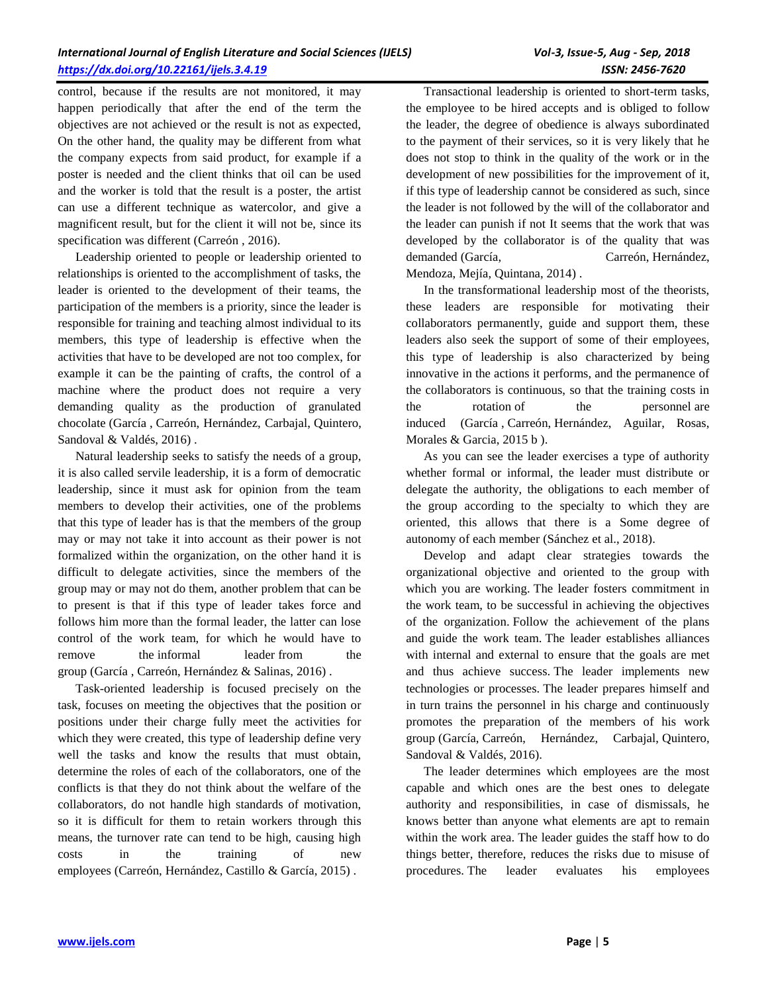control, because if the results are not monitored, it may happen periodically that after the end of the term the objectives are not achieved or the result is not as expected, On the other hand, the quality may be different from what the company expects from said product, for example if a poster is needed and the client thinks that oil can be used and the worker is told that the result is a poster, the artist can use a different technique as watercolor, and give a magnificent result, but for the client it will not be, since its specification was different (Carreón , 2016).

Leadership oriented to people or leadership oriented to relationships is oriented to the accomplishment of tasks, the leader is oriented to the development of their teams, the participation of the members is a priority, since the leader is responsible for training and teaching almost individual to its members, this type of leadership is effective when the activities that have to be developed are not too complex, for example it can be the painting of crafts, the control of a machine where the product does not require a very demanding quality as the production of granulated chocolate (García , Carreón, Hernández, Carbajal, Quintero, Sandoval & Valdés, 2016).

Natural leadership seeks to satisfy the needs of a group, it is also called servile leadership, it is a form of democratic leadership, since it must ask for opinion from the team members to develop their activities, one of the problems that this type of leader has is that the members of the group may or may not take it into account as their power is not formalized within the organization, on the other hand it is difficult to delegate activities, since the members of the group may or may not do them, another problem that can be to present is that if this type of leader takes force and follows him more than the formal leader, the latter can lose control of the work team, for which he would have to remove the informal leader from the group (García , Carreón, Hernández & Salinas, 2016) .

Task-oriented leadership is focused precisely on the task, focuses on meeting the objectives that the position or positions under their charge fully meet the activities for which they were created, this type of leadership define very well the tasks and know the results that must obtain, determine the roles of each of the collaborators, one of the conflicts is that they do not think about the welfare of the collaborators, do not handle high standards of motivation, so it is difficult for them to retain workers through this means, the turnover rate can tend to be high, causing high costs in the training of new employees (Carreón, Hernández, Castillo & García, 2015) .

Transactional leadership is oriented to short-term tasks, the employee to be hired accepts and is obliged to follow the leader, the degree of obedience is always subordinated to the payment of their services, so it is very likely that he does not stop to think in the quality of the work or in the development of new possibilities for the improvement of it, if this type of leadership cannot be considered as such, since the leader is not followed by the will of the collaborator and the leader can punish if not It seems that the work that was developed by the collaborator is of the quality that was demanded (García, Carreón, Hernández, Mendoza, Mejía, Quintana, 2014) .

In the transformational leadership most of the theorists, these leaders are responsible for motivating their collaborators permanently, guide and support them, these leaders also seek the support of some of their employees, this type of leadership is also characterized by being innovative in the actions it performs, and the permanence of the collaborators is continuous, so that the training costs in the rotation of the personnel are induced (García , Carreón, Hernández, Aguilar, Rosas, Morales & Garcia, 2015 b).

As you can see the leader exercises a type of authority whether formal or informal, the leader must distribute or delegate the authority, the obligations to each member of the group according to the specialty to which they are oriented, this allows that there is a Some degree of autonomy of each member (Sánchez et al., 2018).

Develop and adapt clear strategies towards the organizational objective and oriented to the group with which you are working. The leader fosters commitment in the work team, to be successful in achieving the objectives of the organization. Follow the achievement of the plans and guide the work team. The leader establishes alliances with internal and external to ensure that the goals are met and thus achieve success. The leader implements new technologies or processes. The leader prepares himself and in turn trains the personnel in his charge and continuously promotes the preparation of the members of his work group (García, Carreón, Hernández, Carbajal, Quintero, Sandoval & Valdés, 2016).

The leader determines which employees are the most capable and which ones are the best ones to delegate authority and responsibilities, in case of dismissals, he knows better than anyone what elements are apt to remain within the work area. The leader guides the staff how to do things better, therefore, reduces the risks due to misuse of procedures. The leader evaluates his employees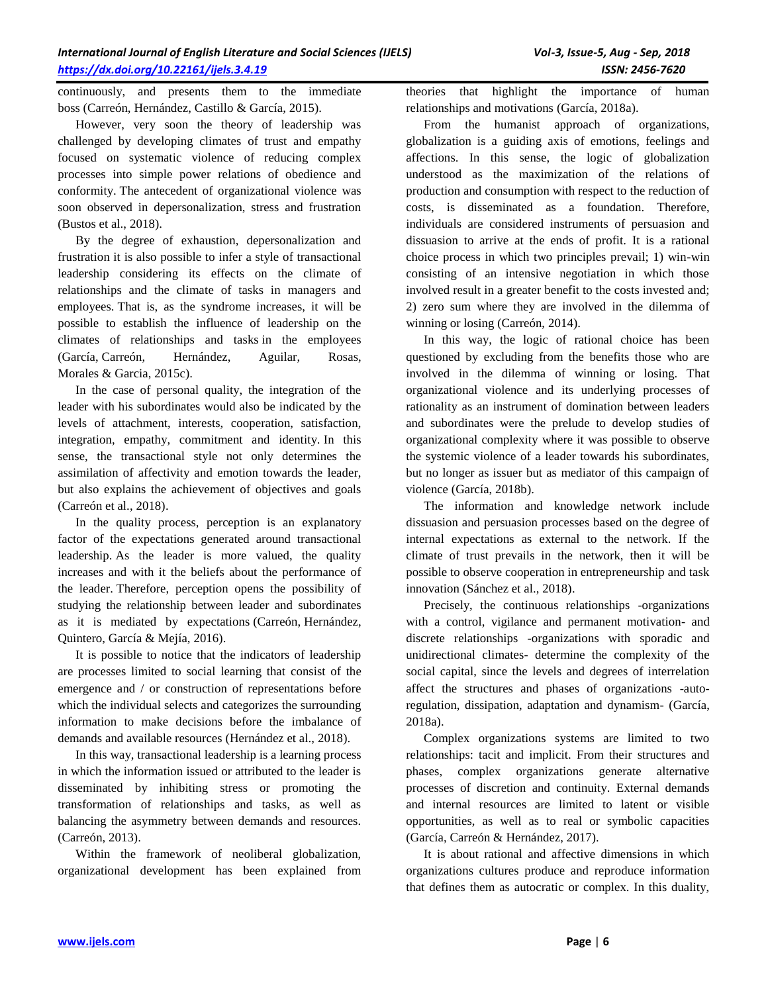continuously, and presents them to the immediate boss (Carreón, Hernández, Castillo & García, 2015).

However, very soon the theory of leadership was challenged by developing climates of trust and empathy focused on systematic violence of reducing complex processes into simple power relations of obedience and conformity. The antecedent of organizational violence was soon observed in depersonalization, stress and frustration (Bustos et al., 2018).

By the degree of exhaustion, depersonalization and frustration it is also possible to infer a style of transactional leadership considering its effects on the climate of relationships and the climate of tasks in managers and employees. That is, as the syndrome increases, it will be possible to establish the influence of leadership on the climates of relationships and tasks in the employees (García, Carreón, Hernández, Aguilar, Rosas, Morales & Garcia, 2015c).

In the case of personal quality, the integration of the leader with his subordinates would also be indicated by the levels of attachment, interests, cooperation, satisfaction, integration, empathy, commitment and identity. In this sense, the transactional style not only determines the assimilation of affectivity and emotion towards the leader, but also explains the achievement of objectives and goals (Carreón et al., 2018).

In the quality process, perception is an explanatory factor of the expectations generated around transactional leadership. As the leader is more valued, the quality increases and with it the beliefs about the performance of the leader. Therefore, perception opens the possibility of studying the relationship between leader and subordinates as it is mediated by expectations (Carreón, Hernández, Quintero, García & Mejía, 2016).

It is possible to notice that the indicators of leadership are processes limited to social learning that consist of the emergence and / or construction of representations before which the individual selects and categorizes the surrounding information to make decisions before the imbalance of demands and available resources (Hernández et al., 2018).

In this way, transactional leadership is a learning process in which the information issued or attributed to the leader is disseminated by inhibiting stress or promoting the transformation of relationships and tasks, as well as balancing the asymmetry between demands and resources. (Carreón, 2013).

Within the framework of neoliberal globalization, organizational development has been explained from theories that highlight the importance of human relationships and motivations (García, 2018a).

From the humanist approach of organizations, globalization is a guiding axis of emotions, feelings and affections. In this sense, the logic of globalization understood as the maximization of the relations of production and consumption with respect to the reduction of costs, is disseminated as a foundation. Therefore, individuals are considered instruments of persuasion and dissuasion to arrive at the ends of profit. It is a rational choice process in which two principles prevail; 1) win-win consisting of an intensive negotiation in which those involved result in a greater benefit to the costs invested and; 2) zero sum where they are involved in the dilemma of winning or losing (Carreón, 2014).

In this way, the logic of rational choice has been questioned by excluding from the benefits those who are involved in the dilemma of winning or losing. That organizational violence and its underlying processes of rationality as an instrument of domination between leaders and subordinates were the prelude to develop studies of organizational complexity where it was possible to observe the systemic violence of a leader towards his subordinates, but no longer as issuer but as mediator of this campaign of violence (García, 2018b).

The information and knowledge network include dissuasion and persuasion processes based on the degree of internal expectations as external to the network. If the climate of trust prevails in the network, then it will be possible to observe cooperation in entrepreneurship and task innovation (Sánchez et al., 2018).

Precisely, the continuous relationships -organizations with a control, vigilance and permanent motivation- and discrete relationships -organizations with sporadic and unidirectional climates- determine the complexity of the social capital, since the levels and degrees of interrelation affect the structures and phases of organizations -autoregulation, dissipation, adaptation and dynamism- (García, 2018a).

Complex organizations systems are limited to two relationships: tacit and implicit. From their structures and phases, complex organizations generate alternative processes of discretion and continuity. External demands and internal resources are limited to latent or visible opportunities, as well as to real or symbolic capacities (García, Carreón & Hernández, 2017).

It is about rational and affective dimensions in which organizations cultures produce and reproduce information that defines them as autocratic or complex. In this duality,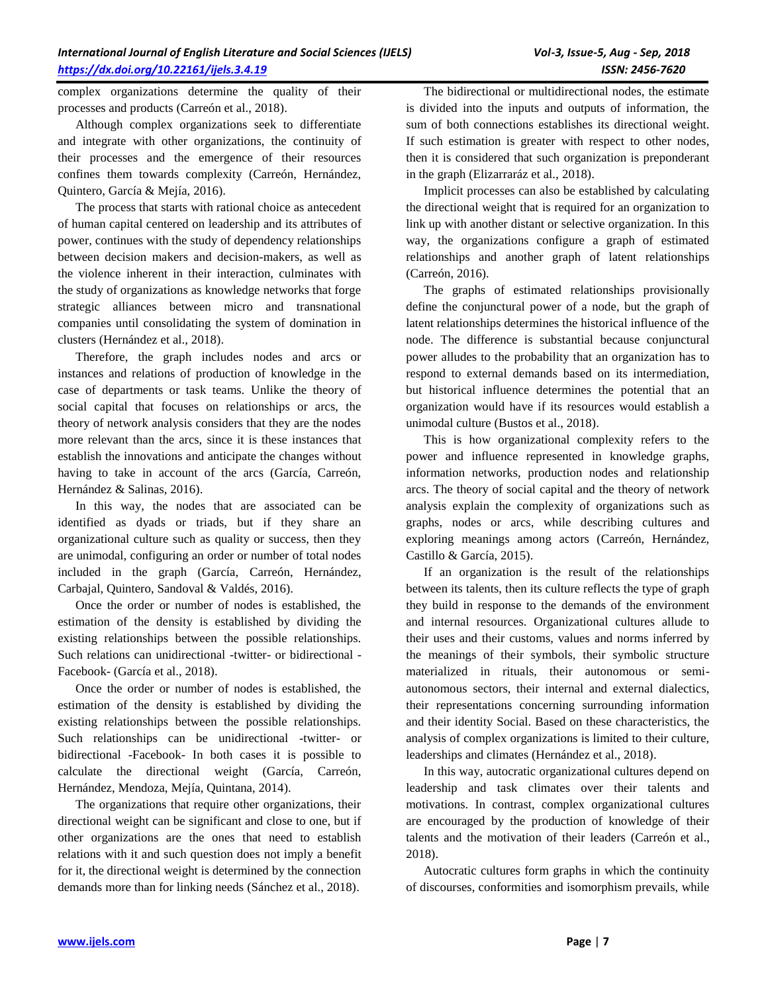complex organizations determine the quality of their processes and products (Carreón et al., 2018).

Although complex organizations seek to differentiate and integrate with other organizations, the continuity of their processes and the emergence of their resources confines them towards complexity (Carreón, Hernández, Quintero, García & Mejía, 2016).

The process that starts with rational choice as antecedent of human capital centered on leadership and its attributes of power, continues with the study of dependency relationships between decision makers and decision-makers, as well as the violence inherent in their interaction, culminates with the study of organizations as knowledge networks that forge strategic alliances between micro and transnational companies until consolidating the system of domination in clusters (Hernández et al., 2018).

Therefore, the graph includes nodes and arcs or instances and relations of production of knowledge in the case of departments or task teams. Unlike the theory of social capital that focuses on relationships or arcs, the theory of network analysis considers that they are the nodes more relevant than the arcs, since it is these instances that establish the innovations and anticipate the changes without having to take in account of the arcs (García, Carreón, Hernández & Salinas, 2016).

In this way, the nodes that are associated can be identified as dyads or triads, but if they share an organizational culture such as quality or success, then they are unimodal, configuring an order or number of total nodes included in the graph (García, Carreón, Hernández, Carbajal, Quintero, Sandoval & Valdés, 2016).

Once the order or number of nodes is established, the estimation of the density is established by dividing the existing relationships between the possible relationships. Such relations can unidirectional -twitter- or bidirectional - Facebook- (García et al., 2018).

Once the order or number of nodes is established, the estimation of the density is established by dividing the existing relationships between the possible relationships. Such relationships can be unidirectional -twitter- or bidirectional -Facebook- In both cases it is possible to calculate the directional weight (García, Carreón, Hernández, Mendoza, Mejía, Quintana, 2014).

The organizations that require other organizations, their directional weight can be significant and close to one, but if other organizations are the ones that need to establish relations with it and such question does not imply a benefit for it, the directional weight is determined by the connection demands more than for linking needs (Sánchez et al., 2018).

The bidirectional or multidirectional nodes, the estimate is divided into the inputs and outputs of information, the sum of both connections establishes its directional weight. If such estimation is greater with respect to other nodes, then it is considered that such organization is preponderant in the graph (Elizarraráz et al., 2018).

Implicit processes can also be established by calculating the directional weight that is required for an organization to link up with another distant or selective organization. In this way, the organizations configure a graph of estimated relationships and another graph of latent relationships (Carreón, 2016).

The graphs of estimated relationships provisionally define the conjunctural power of a node, but the graph of latent relationships determines the historical influence of the node. The difference is substantial because conjunctural power alludes to the probability that an organization has to respond to external demands based on its intermediation, but historical influence determines the potential that an organization would have if its resources would establish a unimodal culture (Bustos et al., 2018).

This is how organizational complexity refers to the power and influence represented in knowledge graphs, information networks, production nodes and relationship arcs. The theory of social capital and the theory of network analysis explain the complexity of organizations such as graphs, nodes or arcs, while describing cultures and exploring meanings among actors (Carreón, Hernández, Castillo & García, 2015).

If an organization is the result of the relationships between its talents, then its culture reflects the type of graph they build in response to the demands of the environment and internal resources. Organizational cultures allude to their uses and their customs, values and norms inferred by the meanings of their symbols, their symbolic structure materialized in rituals, their autonomous or semiautonomous sectors, their internal and external dialectics, their representations concerning surrounding information and their identity Social. Based on these characteristics, the analysis of complex organizations is limited to their culture, leaderships and climates (Hernández et al., 2018).

In this way, autocratic organizational cultures depend on leadership and task climates over their talents and motivations. In contrast, complex organizational cultures are encouraged by the production of knowledge of their talents and the motivation of their leaders (Carreón et al., 2018).

Autocratic cultures form graphs in which the continuity of discourses, conformities and isomorphism prevails, while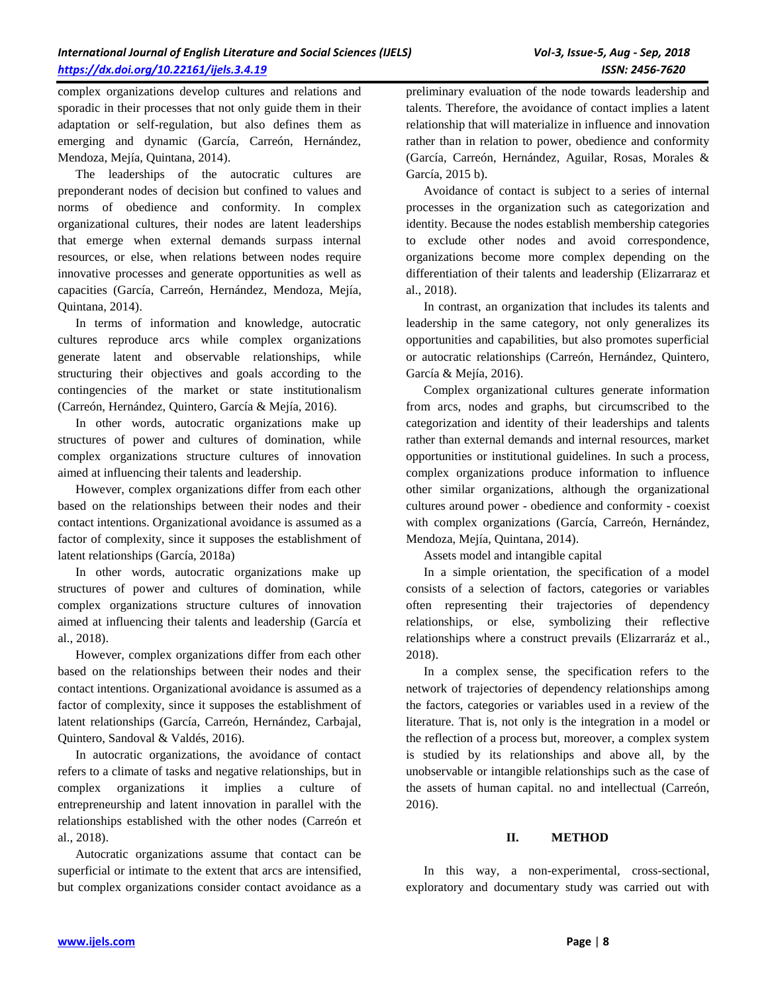complex organizations develop cultures and relations and sporadic in their processes that not only guide them in their adaptation or self-regulation, but also defines them as emerging and dynamic (García, Carreón, Hernández, Mendoza, Mejía, Quintana, 2014).

The leaderships of the autocratic cultures are preponderant nodes of decision but confined to values and norms of obedience and conformity. In complex organizational cultures, their nodes are latent leaderships that emerge when external demands surpass internal resources, or else, when relations between nodes require innovative processes and generate opportunities as well as capacities (García, Carreón, Hernández, Mendoza, Mejía, Quintana, 2014).

In terms of information and knowledge, autocratic cultures reproduce arcs while complex organizations generate latent and observable relationships, while structuring their objectives and goals according to the contingencies of the market or state institutionalism (Carreón, Hernández, Quintero, García & Mejía, 2016).

In other words, autocratic organizations make up structures of power and cultures of domination, while complex organizations structure cultures of innovation aimed at influencing their talents and leadership.

However, complex organizations differ from each other based on the relationships between their nodes and their contact intentions. Organizational avoidance is assumed as a factor of complexity, since it supposes the establishment of latent relationships (García, 2018a)

In other words, autocratic organizations make up structures of power and cultures of domination, while complex organizations structure cultures of innovation aimed at influencing their talents and leadership (García et al., 2018).

However, complex organizations differ from each other based on the relationships between their nodes and their contact intentions. Organizational avoidance is assumed as a factor of complexity, since it supposes the establishment of latent relationships (García, Carreón, Hernández, Carbajal, Quintero, Sandoval & Valdés, 2016).

In autocratic organizations, the avoidance of contact refers to a climate of tasks and negative relationships, but in complex organizations it implies a culture of entrepreneurship and latent innovation in parallel with the relationships established with the other nodes (Carreón et al., 2018).

Autocratic organizations assume that contact can be superficial or intimate to the extent that arcs are intensified, but complex organizations consider contact avoidance as a preliminary evaluation of the node towards leadership and talents. Therefore, the avoidance of contact implies a latent relationship that will materialize in influence and innovation rather than in relation to power, obedience and conformity (García, Carreón, Hernández, Aguilar, Rosas, Morales & García, 2015 b).

Avoidance of contact is subject to a series of internal processes in the organization such as categorization and identity. Because the nodes establish membership categories to exclude other nodes and avoid correspondence, organizations become more complex depending on the differentiation of their talents and leadership (Elizarraraz et al., 2018).

In contrast, an organization that includes its talents and leadership in the same category, not only generalizes its opportunities and capabilities, but also promotes superficial or autocratic relationships (Carreón, Hernández, Quintero, García & Mejía, 2016).

Complex organizational cultures generate information from arcs, nodes and graphs, but circumscribed to the categorization and identity of their leaderships and talents rather than external demands and internal resources, market opportunities or institutional guidelines. In such a process, complex organizations produce information to influence other similar organizations, although the organizational cultures around power - obedience and conformity - coexist with complex organizations (García, Carreón, Hernández, Mendoza, Mejía, Quintana, 2014).

Assets model and intangible capital

In a simple orientation, the specification of a model consists of a selection of factors, categories or variables often representing their trajectories of dependency relationships, or else, symbolizing their reflective relationships where a construct prevails (Elizarraráz et al., 2018).

In a complex sense, the specification refers to the network of trajectories of dependency relationships among the factors, categories or variables used in a review of the literature. That is, not only is the integration in a model or the reflection of a process but, moreover, a complex system is studied by its relationships and above all, by the unobservable or intangible relationships such as the case of the assets of human capital. no and intellectual (Carreón, 2016).

# **II. METHOD**

In this way, a non-experimental, cross-sectional, exploratory and documentary study was carried out with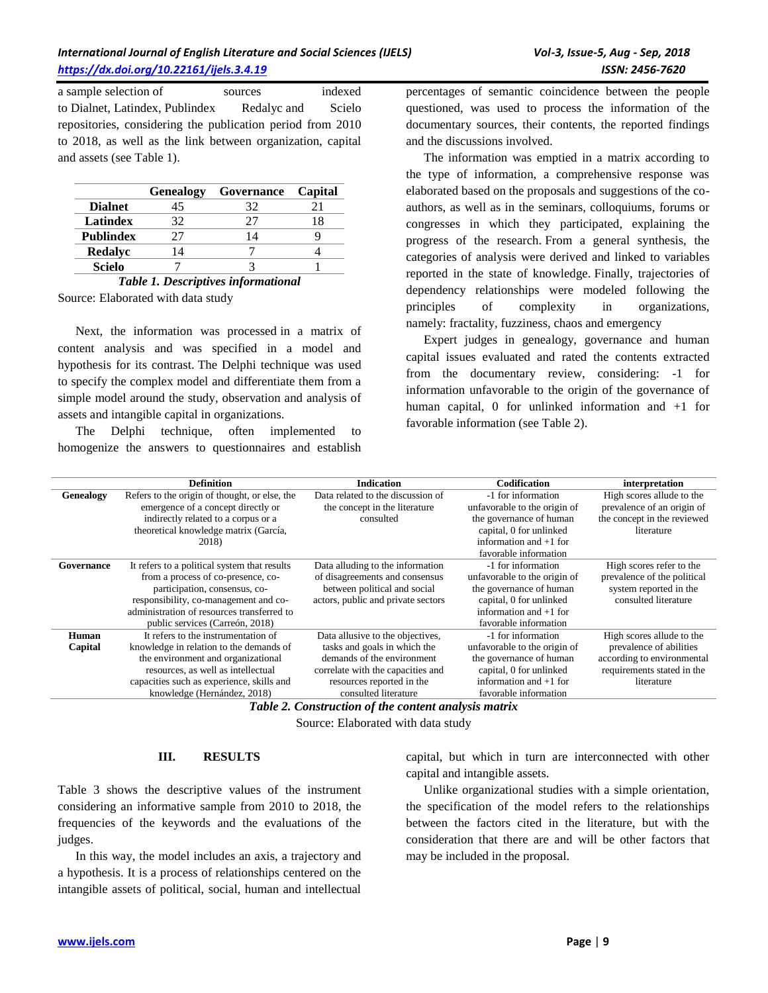a sample selection of sources indexed to Dialnet, Latindex, Publindex Redalyc and Scielo repositories, considering the publication period from 2010 to 2018, as well as the link between organization, capital and assets (see Table 1).

|                  | <b>Genealogy</b> | Governance     | Capital |
|------------------|------------------|----------------|---------|
| <b>Dialnet</b>   |                  | 32             |         |
| Latindex         | 37               |                |         |
| <b>Publindex</b> |                  | $\overline{4}$ |         |
| Redalyc          | $\Delta$         |                |         |
| <b>Scielo</b>    |                  |                |         |

*Table 1. Descriptives informational*

Source: Elaborated with data study

Next, the information was processed in a matrix of content analysis and was specified in a model and hypothesis for its contrast. The Delphi technique was used to specify the complex model and differentiate them from a simple model around the study, observation and analysis of assets and intangible capital in organizations.

The Delphi technique, often implemented to homogenize the answers to questionnaires and establish percentages of semantic coincidence between the people questioned, was used to process the information of the documentary sources, their contents, the reported findings and the discussions involved.

The information was emptied in a matrix according to the type of information, a comprehensive response was elaborated based on the proposals and suggestions of the coauthors, as well as in the seminars, colloquiums, forums or congresses in which they participated, explaining the progress of the research. From a general synthesis, the categories of analysis were derived and linked to variables reported in the state of knowledge. Finally, trajectories of dependency relationships were modeled following the principles of complexity in organizations, namely: fractality, fuzziness, chaos and emergency

Expert judges in genealogy, governance and human capital issues evaluated and rated the contents extracted from the documentary review, considering: -1 for information unfavorable to the origin of the governance of human capital, 0 for unlinked information and +1 for favorable information (see Table 2).

|                  | <b>Definition</b>                             | <b>Indication</b>                  | Codification                 | interpretation              |
|------------------|-----------------------------------------------|------------------------------------|------------------------------|-----------------------------|
| <b>Genealogy</b> | Refers to the origin of thought, or else, the | Data related to the discussion of  | -1 for information           | High scores allude to the   |
|                  | emergence of a concept directly or            | the concept in the literature      | unfavorable to the origin of | prevalence of an origin of  |
|                  | indirectly related to a corpus or a           | consulted                          | the governance of human      | the concept in the reviewed |
|                  | theoretical knowledge matrix (García,         |                                    | capital, 0 for unlinked      | literature                  |
|                  | 2018)                                         |                                    | information and $+1$ for     |                             |
|                  |                                               |                                    | favorable information        |                             |
| Governance       | It refers to a political system that results  | Data alluding to the information   | -1 for information           | High scores refer to the    |
|                  | from a process of co-presence, co-            | of disagreements and consensus     | unfavorable to the origin of | prevalence of the political |
|                  | participation, consensus, co-                 | between political and social       | the governance of human      | system reported in the      |
|                  | responsibility, co-management and co-         | actors, public and private sectors | capital, 0 for unlinked      | consulted literature        |
|                  | administration of resources transferred to    |                                    | information and $+1$ for     |                             |
|                  | public services (Carreón, 2018)               |                                    | favorable information        |                             |
| Human            | It refers to the instrumentation of           | Data allusive to the objectives,   | -1 for information           | High scores allude to the   |
| Capital          | knowledge in relation to the demands of       | tasks and goals in which the       | unfavorable to the origin of | prevalence of abilities     |
|                  | the environment and organizational            | demands of the environment         | the governance of human      | according to environmental  |
|                  | resources, as well as intellectual            | correlate with the capacities and  | capital, 0 for unlinked      | requirements stated in the  |
|                  | capacities such as experience, skills and     | resources reported in the          | information and $+1$ for     | literature                  |
|                  | knowledge (Hernández, 2018)                   | consulted literature               | favorable information        |                             |
|                  | T11A.                                         | $\mathbf{r}$                       |                              |                             |

*Table 2. Construction of the content analysis matrix*

Source: Elaborated with data study

#### **III. RESULTS**

Table 3 shows the descriptive values of the instrument considering an informative sample from 2010 to 2018, the frequencies of the keywords and the evaluations of the judges.

In this way, the model includes an axis, a trajectory and a hypothesis. It is a process of relationships centered on the intangible assets of political, social, human and intellectual capital, but which in turn are interconnected with other capital and intangible assets.

Unlike organizational studies with a simple orientation, the specification of the model refers to the relationships between the factors cited in the literature, but with the consideration that there are and will be other factors that may be included in the proposal.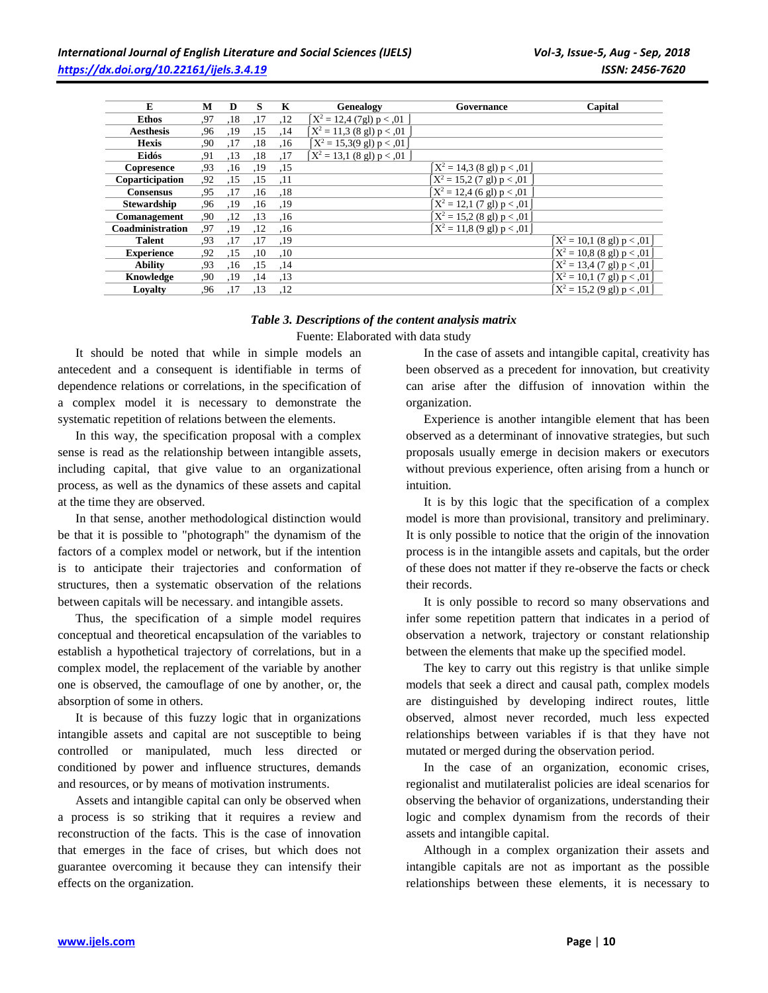| E                  | М   | D   | S   | K   | Genealogy                                   | Governance                                  | Capital                                              |
|--------------------|-----|-----|-----|-----|---------------------------------------------|---------------------------------------------|------------------------------------------------------|
| <b>Ethos</b>       | .97 | ,18 | ,17 | .12 | $X^2 = 12,4$ (7gl) p < 0.01                 |                                             |                                                      |
| <b>Aesthesis</b>   | .96 | ,19 | ,15 | ,14 | $X^2 = 11,3$ (8 gl) p < 0.01                |                                             |                                                      |
| <b>Hexis</b>       | ,90 | ,17 | ,18 | .16 | $X^2 = 15,3(9 \text{ gl}) \text{ p} < 0.01$ |                                             |                                                      |
| Eidós              | .91 | ,13 | .18 | ,17 | $[X^2 = 13.1$ (8 gl) p < 0.01               |                                             |                                                      |
| Copresence         | .93 | .16 | ,19 | ,15 |                                             | $X^2 = 14,3$ (8 gl) p < 0.01                |                                                      |
| Coparticipation    | .92 | ,15 | ,15 | ,11 |                                             | $X^2 = 15,2$ (7 gl) p < 0.01                |                                                      |
| <b>Consensus</b>   | .95 | .17 | .16 | .18 |                                             | $X^2 = 12,4$ (6 gl) p < 0.01                |                                                      |
| <b>Stewardship</b> | .96 | .19 | .16 | ,19 |                                             | $X^2 = 12,1(7 \text{ gl}) \text{ p} < 0.01$ |                                                      |
| Comanagement       | .90 | ,12 | ,13 | ,16 |                                             | $X^2 = 15,2$ (8 gl) p < 0.01                |                                                      |
| Coadministration   | .97 | ,19 | ,12 | .16 |                                             | $X^2 = 11.8$ (9 gl) p < 0.01                |                                                      |
| <b>Talent</b>      | .93 | .17 | .17 | ,19 |                                             |                                             | $X^2 = 10,1$ (8 gl) p < 0.01                         |
| <b>Experience</b>  | .92 | ,15 | .10 | ,10 |                                             |                                             | $X^2 = 10,8$ (8 gl) p < 0.01                         |
| <b>Ability</b>     | .93 | .16 | ,15 | .14 |                                             |                                             | $X^2 = 13,4(7 \text{ gl}) p < 0.01$                  |
| Knowledge          | .90 | ,19 | ,14 | ,13 |                                             |                                             | $X^2 = 10, 1 (7 \text{ gl}) p < 0.01$                |
| Lovalty            | .96 | ,17 | ,13 | .12 |                                             |                                             | $\left[ X^2 = 15, 2 (9 \text{ gl}) p < 0.01 \right]$ |

# *Table 3. Descriptions of the content analysis matrix*  Fuente: Elaborated with data study

It should be noted that while in simple models an antecedent and a consequent is identifiable in terms of dependence relations or correlations, in the specification of a complex model it is necessary to demonstrate the systematic repetition of relations between the elements.

In this way, the specification proposal with a complex sense is read as the relationship between intangible assets, including capital, that give value to an organizational process, as well as the dynamics of these assets and capital at the time they are observed.

In that sense, another methodological distinction would be that it is possible to "photograph" the dynamism of the factors of a complex model or network, but if the intention is to anticipate their trajectories and conformation of structures, then a systematic observation of the relations between capitals will be necessary. and intangible assets.

Thus, the specification of a simple model requires conceptual and theoretical encapsulation of the variables to establish a hypothetical trajectory of correlations, but in a complex model, the replacement of the variable by another one is observed, the camouflage of one by another, or, the absorption of some in others.

It is because of this fuzzy logic that in organizations intangible assets and capital are not susceptible to being controlled or manipulated, much less directed or conditioned by power and influence structures, demands and resources, or by means of motivation instruments.

Assets and intangible capital can only be observed when a process is so striking that it requires a review and reconstruction of the facts. This is the case of innovation that emerges in the face of crises, but which does not guarantee overcoming it because they can intensify their effects on the organization.

In the case of assets and intangible capital, creativity has been observed as a precedent for innovation, but creativity can arise after the diffusion of innovation within the organization.

Experience is another intangible element that has been observed as a determinant of innovative strategies, but such proposals usually emerge in decision makers or executors without previous experience, often arising from a hunch or intuition.

It is by this logic that the specification of a complex model is more than provisional, transitory and preliminary. It is only possible to notice that the origin of the innovation process is in the intangible assets and capitals, but the order of these does not matter if they re-observe the facts or check their records.

It is only possible to record so many observations and infer some repetition pattern that indicates in a period of observation a network, trajectory or constant relationship between the elements that make up the specified model.

The key to carry out this registry is that unlike simple models that seek a direct and causal path, complex models are distinguished by developing indirect routes, little observed, almost never recorded, much less expected relationships between variables if is that they have not mutated or merged during the observation period.

In the case of an organization, economic crises, regionalist and mutilateralist policies are ideal scenarios for observing the behavior of organizations, understanding their logic and complex dynamism from the records of their assets and intangible capital.

Although in a complex organization their assets and intangible capitals are not as important as the possible relationships between these elements, it is necessary to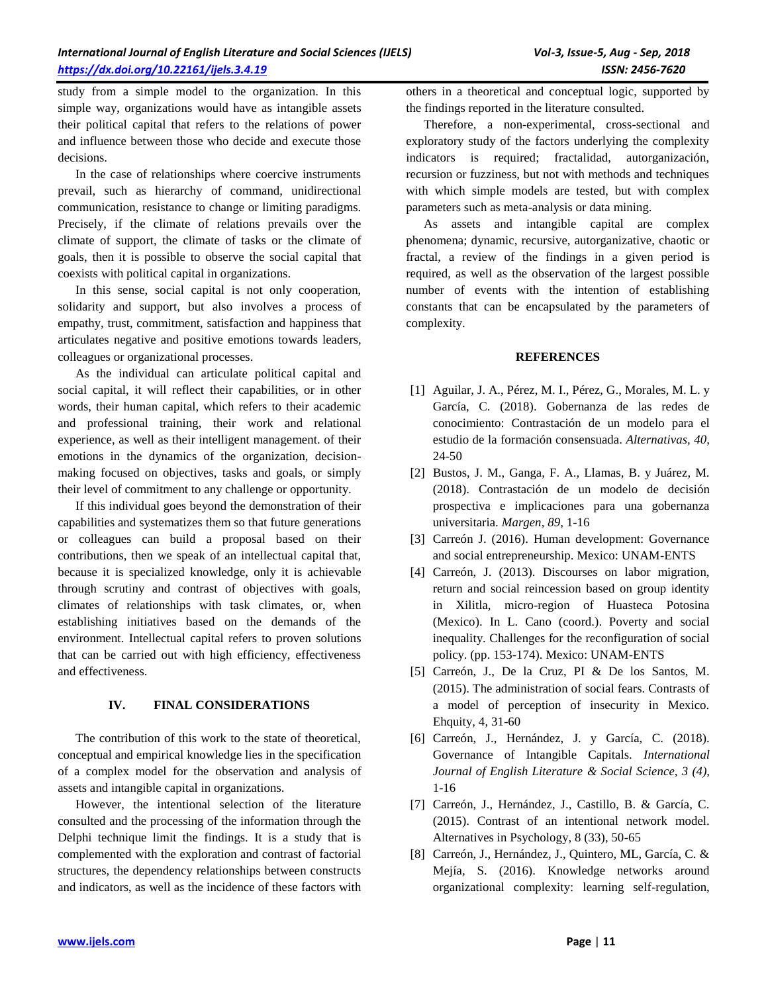study from a simple model to the organization. In this simple way, organizations would have as intangible assets their political capital that refers to the relations of power and influence between those who decide and execute those decisions.

In the case of relationships where coercive instruments prevail, such as hierarchy of command, unidirectional communication, resistance to change or limiting paradigms. Precisely, if the climate of relations prevails over the climate of support, the climate of tasks or the climate of goals, then it is possible to observe the social capital that coexists with political capital in organizations.

In this sense, social capital is not only cooperation, solidarity and support, but also involves a process of empathy, trust, commitment, satisfaction and happiness that articulates negative and positive emotions towards leaders, colleagues or organizational processes.

As the individual can articulate political capital and social capital, it will reflect their capabilities, or in other words, their human capital, which refers to their academic and professional training, their work and relational experience, as well as their intelligent management. of their emotions in the dynamics of the organization, decisionmaking focused on objectives, tasks and goals, or simply their level of commitment to any challenge or opportunity.

If this individual goes beyond the demonstration of their capabilities and systematizes them so that future generations or colleagues can build a proposal based on their contributions, then we speak of an intellectual capital that, because it is specialized knowledge, only it is achievable through scrutiny and contrast of objectives with goals, climates of relationships with task climates, or, when establishing initiatives based on the demands of the environment. Intellectual capital refers to proven solutions that can be carried out with high efficiency, effectiveness and effectiveness.

# **IV. FINAL CONSIDERATIONS**

The contribution of this work to the state of theoretical, conceptual and empirical knowledge lies in the specification of a complex model for the observation and analysis of assets and intangible capital in organizations.

However, the intentional selection of the literature consulted and the processing of the information through the Delphi technique limit the findings. It is a study that is complemented with the exploration and contrast of factorial structures, the dependency relationships between constructs and indicators, as well as the incidence of these factors with others in a theoretical and conceptual logic, supported by the findings reported in the literature consulted.

Therefore, a non-experimental, cross-sectional and exploratory study of the factors underlying the complexity indicators is required; fractalidad, autorganización, recursion or fuzziness, but not with methods and techniques with which simple models are tested, but with complex parameters such as meta-analysis or data mining.

As assets and intangible capital are complex phenomena; dynamic, recursive, autorganizative, chaotic or fractal, a review of the findings in a given period is required, as well as the observation of the largest possible number of events with the intention of establishing constants that can be encapsulated by the parameters of complexity.

#### **REFERENCES**

- [1] Aguilar, J. A., Pérez, M. I., Pérez, G., Morales, M. L. y García, C. (2018). Gobernanza de las redes de conocimiento: Contrastación de un modelo para el estudio de la formación consensuada. *Alternativas, 40,*  24-50
- [2] Bustos, J. M., Ganga, F. A., Llamas, B. y Juárez, M. (2018). Contrastación de un modelo de decisión prospectiva e implicaciones para una gobernanza universitaria. *Margen, 89,* 1-16
- [3] Carreón J. (2016). Human development: Governance and social entrepreneurship. Mexico: UNAM-ENTS
- [4] Carreón, J. (2013). Discourses on labor migration, return and social reincession based on group identity in Xilitla, micro-region of Huasteca Potosina (Mexico). In L. Cano (coord.). Poverty and social inequality. Challenges for the reconfiguration of social policy. (pp. 153-174). Mexico: UNAM-ENTS
- [5] Carreón, J., De la Cruz, PI & De los Santos, M. (2015). The administration of social fears. Contrasts of a model of perception of insecurity in Mexico. Ehquity, 4, 31-60
- [6] Carreón, J., Hernández, J. y García, C. (2018). Governance of Intangible Capitals. *International Journal of English Literature & Social Science, 3 (4),*  1-16
- [7] Carreón, J., Hernández, J., Castillo, B. & García, C. (2015). Contrast of an intentional network model. Alternatives in Psychology, 8 (33), 50-65
- [8] Carreón, J., Hernández, J., Quintero, ML, García, C. & Mejía, S. (2016). Knowledge networks around organizational complexity: learning self-regulation,